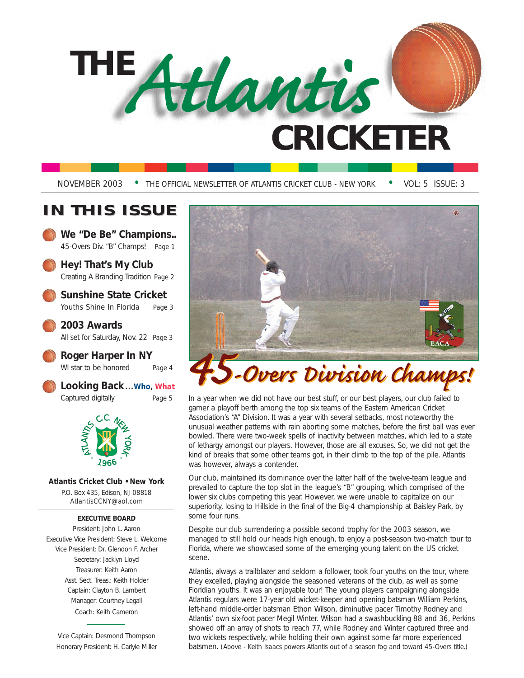# **THE CRICKETER** *Atlantis*

NOVEMBER 2003 • THE OFFICIAL NEWSLETTER OF ATLANTIS CRICKET CLUB - NEW YORK • VOL: 5 ISSUE: 3

### **IN THIS ISSUE**

**We "De Be" Champions..** 45-Overs Div. "B" Champs! *Page 1*

**Hey! That's My Club** Creating A Branding Tradition *Page 2*

**Sunshine State Cricket** Youths Shine In Florida *Page 3*

**2003 Awards**  All set for Saturday, Nov. 22 *Page 3*

**Roger Harper In NY**  WI star to be honored *Page 4*

**Looking Back...***Who, What* Captured digitally *Page 5*



**Atlantis Cricket Club • New York**

P.O. Box 435, Edison, NJ 08818 AtlantisCCNY@aol.com

#### **EXECUTIVE BOARD**

President: John L. Aaron Executive Vice President: Steve L. Welcome Vice President: Dr. Glendon F. Archer Secretary: Jacklyn Lloyd Treasurer: Keith Aaron Asst. Sect. Treas.: Keith Holder Captain: Clayton B. Lambert Manager: Courtney Legall Coach: Keith Cameron

Vice Captain: Desmond Thompson Honorary President: H. Carlyle Miller



In a year when we did not have our best stuff, or our best players, our club failed to garner a playoff berth among the top six teams of the Eastern American Cricket Association's "A" Division. It was a year with several setbacks, most noteworthy the unusual weather patterns with rain aborting some matches, before the first ball was ever bowled. There were two-week spells of inactivity between matches, which led to a state of lethargy amongst our players. However, those are all excuses. So, we did not get the kind of breaks that some other teams got, in their climb to the top of the pile. Atlantis was however, always a contender.

Our club, maintained its dominance over the latter half of the twelve-team league and prevailed to capture the top slot in the league's "B" grouping, which comprised of the lower six clubs competing this year. However, we were unable to capitalize on our superiority, losing to Hillside in the final of the Big-4 championship at Baisley Park, by some four runs.

Despite our club surrendering a possible second trophy for the 2003 season, we managed to still hold our heads high enough, to enjoy a post-season two-match tour to Florida, where we showcased some of the emerging young talent on the US cricket scene.

Atlantis, always a trailblazer and seldom a follower, took four youths on the tour, where they excelled, playing alongside the seasoned veterans of the club, as well as some Floridian youths. It was an enjoyable tour! The young players campaigning alongside Atlantis regulars were 17-year old wicket-keeper and opening batsman William Perkins, left-hand middle-order batsman Ethon Wilson, diminutive pacer Timothy Rodney and Atlantis' own six-foot pacer Megil Winter. Wilson had a swashbuckling 88 and 36, Perkins showed off an array of shots to reach 77, while Rodney and Winter captured three and two wickets respectively, while holding their own against some far more experienced batsmen. *(Above - Keith Isaacs powers Atlantis out of a season fog and toward 45-Overs title.)*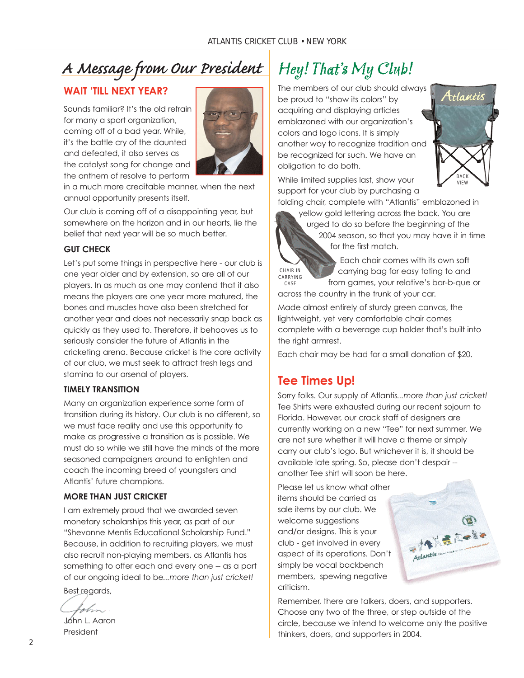### *A Message from Our President*

### **WAIT 'TILL NEXT YEAR?**

Sounds familiar? It's the old refrain for many a sport organization, coming off of a bad year. While, it's the battle cry of the daunted and defeated, it also serves as the catalyst song for change and the anthem of resolve to perform



in a much more creditable manner, when the next annual opportunity presents itself.

Our club is coming off of a disappointing year, but somewhere on the horizon and in our hearts, lie the belief that next year will be so much better.

#### **GUT CHECK**

Let's put some things in perspective here - our club is one year older and by extension, so are all of our players. In as much as one may contend that it also means the players are one year more matured, the bones and muscles have also been stretched for another year and does not necessarily snap back as quickly as they used to. Therefore, it behooves us to seriously consider the future of Atlantis in the cricketing arena. Because cricket is the core activity of our club, we must seek to attract fresh legs and stamina to our arsenal of players.

#### **TIMELY TRANSITION**

Many an organization experience some form of transition during its history. Our club is no different, so we must face reality and use this opportunity to make as progressive a transition as is possible. We must do so while we still have the minds of the more seasoned campaigners around to enlighten and coach the incoming breed of youngsters and Atlantis' future champions.

#### **MORE THAN JUST CRICKET**

I am extremely proud that we awarded seven monetary scholarships this year, as part of our "Shevonne Mentis Educational Scholarship Fund." Because, in addition to recruiting players, we must also recruit non-playing members, as Atlantis has something to offer each and every one -- as a part of our ongoing ideal to be*...more than just cricket!*

Best regards,

l plvn

John L. Aaron President

### Hey! That's My Club!

The members of our club should always be proud to "show its colors" by acquiring and displaying articles emblazoned with our organization's colors and logo icons. It is simply another way to recognize tradition and be recognized for such. We have an obligation to do both.



While limited supplies last, show your support for your club by purchasing a

folding chair, complete with "Atlantis" emblazoned in



urged to do so before the beginning of the 2004 season, so that you may have it in time for the first match.

CHAIR IN CARRYING CASE

Each chair comes with its own soft carrying bag for easy toting to and from games, your relative's bar-b-que or

across the country in the trunk of your car.

Made almost entirely of sturdy green canvas, the lightweight, yet very comfortable chair comes complete with a beverage cup holder that's built into the right armrest.

Each chair may be had for a small donation of \$20.

#### **Tee Times Up!**

Sorry folks. Our supply of Atlantis*...more than just cricket!* Tee Shirts were exhausted during our recent sojourn to Florida. However, our crack staff of designers are currently working on a new "Tee" for next summer. We are not sure whether it will have a theme or simply carry our club's logo. But whichever it is, it should be available late spring. So, please don't despair - another Tee shirt will soon be here.

Please let us know what other items should be carried as sale items by our club. We welcome suggestions and/or designs. This is your club - get involved in every aspect of its operations. Don't simply be vocal backbench members, spewing negative criticism.



Remember, there are talkers, doers, and supporters. Choose any two of the three, or step outside of the circle, because we intend to welcome only the positive thinkers, doers, and supporters in 2004.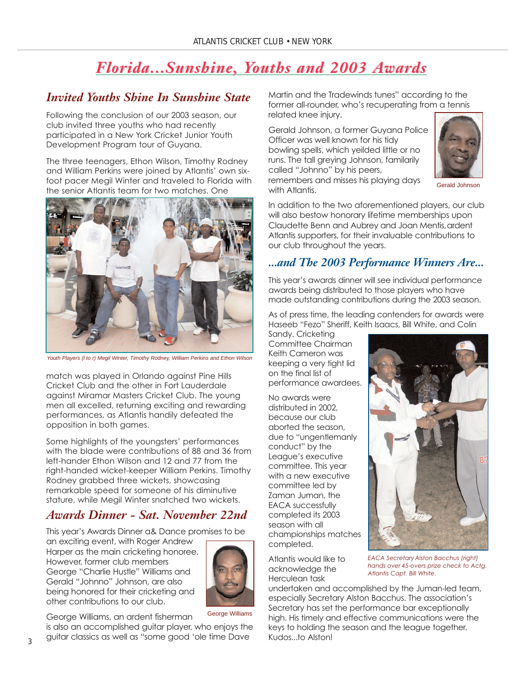### *Florida...Sunshine, Y Florida...Sunshine, Youths and 2003 A ouths and 2003 Awards*

### *Invited Youths Shine In Sunshine State*

Following the conclusion of our 2003 season, our club invited three youths who had recently participated in a New York Cricket Junior Youth Development Program tour of Guyana.

The three teenagers, Ethon Wilson, Timothy Rodney and William Perkins were joined by Atlantis' own sixfoot pacer Megil Winter and traveled to Florida with the senior Atlantis team for two matches. One



Youth Players (l to r) Megil Winter, Timothy Rodney, William Perkins and Ethon Wilson

match was played in Orlando against Pine Hills Cricket Club and the other in Fort Lauderdale against Miramar Masters Cricket Club. The young men all excelled, returning exciting and rewarding performances, as Atlantis handily defeated the opposition in both games.

Some highlights of the youngsters' performances with the blade were contributions of 88 and 36 from left-hander Ethon Wilson and 12 and 77 from the right-handed wicket-keeper William Perkins. Timothy Rodney grabbed three wickets, showcasing remarkable speed for someone of his diminutive stature, while Megil Winter snatched two wickets.

### *Awards Dinner - Sat. November 22nd*

This year's Awards Dinner a& Dance promises to be

an exciting event, with Roger Andrew Harper as the main cricketing honoree. However, former club members George "Charlie Hustle" Williams and Gerald "Johnno" Johnson, are also being honored for their cricketing and other contributions to our club.



George Williams

George Williams, an ardent fisherman

is also an accomplished guitar player, who enjoys the guitar classics as well as "some good 'ole time Dave

Martin and the Tradewinds tunes" according to the former all-rounder, who's recuperating from a tennis related knee injury.

Gerald Johnson, a former Guyana Police Officer was well known for his tidy bowling spells, which yeilded little or no runs. The tall greying Johnson, familarily called "Johnno" by his peers, remembers and misses his playing days with Atlantis.



Gerald Johnson

In addition to the two aforementioned players, our club will also bestow honorary lifetime memberships upon Claudette Benn and Aubrey and Joan Mentis, ardent Atlantis supporters, for their invaluable contributions to our club throughout the years.

### *...and The 2003 Performance Winners Are...*

This year's awards dinner will see individual performance awards being distributed to those players who have made outstanding contributions during the 2003 season.

As of press time, the leading contenders for awards were Haseeb "Fezo" Sheriff, Keith Isaacs, Bill White, and Colin

Sandy. Cricketing Committee Chairman Keith Cameron was keeping a very tight lid on the final list of performance awardees.

No awards were distributed in 2002, because our club aborted the season, due to "ungentlemanly conduct" by the League's executive committee. This year with a new executive committee led by Zaman Juman, the EACA successfully completed its 2003 season with all championships matches completed.

Atlantis would like to acknowledge the Herculean task



*EACA SecretaryAlston Bacchus (right) hands over 45-overs prize check to Actg. Atlantis Capt. Bill White.*

undertaken and accomplished by the Juman-led team, especially Secretary Alston Bacchus. The association's Secretary has set the performance bar exceptionally high. His timely and effective communications were the keys to holding the season and the league together. Kudos...to Alston!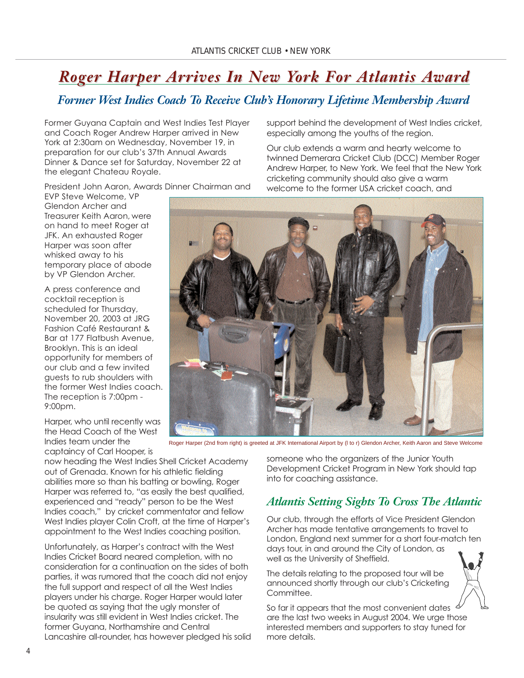### *Roger Harper Ar Roger Harper Arrives In New Y rives In New York For Atlantis A ork For Atlantis Award*

### *Former West Indies Coach To Receive Club's Honorary Lifetime Membership Award*

Former Guyana Captain and West Indies Test Player and Coach Roger Andrew Harper arrived in New York at 2:30am on Wednesday, November 19, in preparation for our club's 37th Annual Awards Dinner & Dance set for Saturday, November 22 at the elegant Chateau Royale.

President John Aaron, Awards Dinner Chairman and

EVP Steve Welcome, VP Glendon Archer and Treasurer Keith Aaron, were on hand to meet Roger at JFK. An exhausted Roger Harper was soon after whisked away to his temporary place of abode by VP Glendon Archer.

A press conference and cocktail reception is scheduled for Thursday, November 20, 2003 at JRG Fashion Café Restaurant & Bar at 177 Flatbush Avenue, Brooklyn. This is an ideal opportunity for members of our club and a few invited guests to rub shoulders with the former West Indies coach. The reception is 7:00pm - 9:00pm.

Harper, who until recently was the Head Coach of the West Indies team under the captaincy of Carl Hooper, is

now heading the West Indies Shell Cricket Academy out of Grenada. Known for his athletic fielding abilities more so than his batting or bowling, Roger Harper was referred to, "as easily the best qualified, experienced and "ready" person to be the West Indies coach," by cricket commentator and fellow West Indies player Colin Croft, at the time of Harper's appointment to the West Indies coaching position.

Unfortunately, as Harper's contract with the West Indies Cricket Board neared completion, with no consideration for a continuation on the sides of both parties, it was rumored that the coach did not enjoy the full support and respect of all the West Indies players under his charge. Roger Harper would later be quoted as saying that the ugly monster of insularity was still evident in West Indies cricket. The former Guyana, Northamshire and Central Lancashire all-rounder, has however pledged his solid support behind the development of West Indies cricket, especially among the youths of the region.

Our club extends a warm and hearty welcome to twinned Demerara Cricket Club (DCC) Member Roger Andrew Harper, to New York. We feel that the New York cricketing community should also give a warm welcome to the former USA cricket coach, and



Roger Harper (2nd from right) is greeted at JFK International Airport by (l to r) Glendon Archer, Keith Aaron and Steve Welcome

someone who the organizers of the Junior Youth Development Cricket Program in New York should tap into for coaching assistance.

### *Atlantis Setting Sights To Cross The Atlantic*

Our club, through the efforts of Vice President Glendon Archer has made tentative arrangements to travel to London, England next summer for a short four-match ten days tour, in and around the City of London, as well as the University of Sheffield.

The details relating to the proposed tour will be announced shortly through our club's Cricketing Committee.

So far it appears that the most convenient dates are the last two weeks in August 2004. We urge those interested members and supporters to stay tuned for more details.